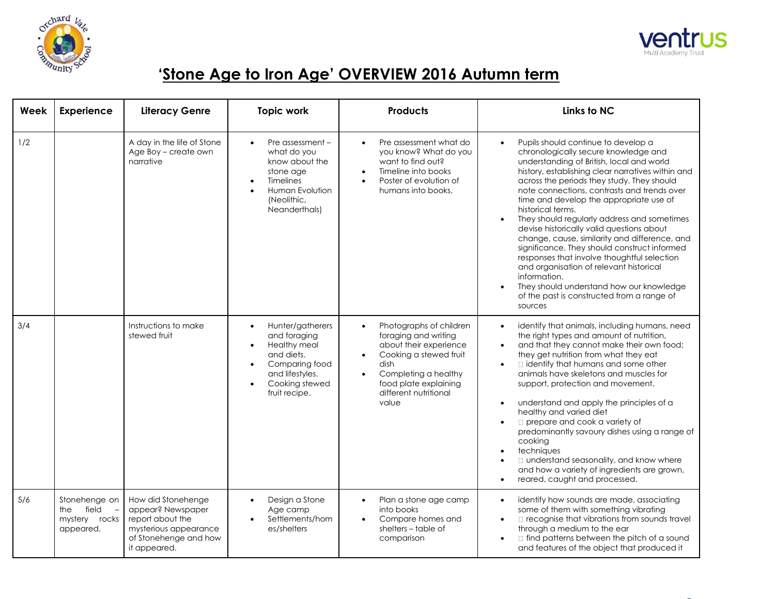



| Week | <b>Experience</b>                                        | <b>Literacy Genre</b>                                                                                                         | <b>Topic work</b>                                                                                                                             | <b>Products</b>                                                                                                                                                                                             | Links to NC                                                                                                                                                                                                                                                                                                                                                                                                                                                                                                                                                                                                                                                                                                                                            |
|------|----------------------------------------------------------|-------------------------------------------------------------------------------------------------------------------------------|-----------------------------------------------------------------------------------------------------------------------------------------------|-------------------------------------------------------------------------------------------------------------------------------------------------------------------------------------------------------------|--------------------------------------------------------------------------------------------------------------------------------------------------------------------------------------------------------------------------------------------------------------------------------------------------------------------------------------------------------------------------------------------------------------------------------------------------------------------------------------------------------------------------------------------------------------------------------------------------------------------------------------------------------------------------------------------------------------------------------------------------------|
| 1/2  |                                                          | A day in the life of Stone<br>Age Boy - create own<br>narrative                                                               | Pre assessment $-$<br>$\bullet$<br>what do you<br>know about the<br>stone age<br>Timelines<br>Human Evolution<br>(Neolithic,<br>Neanderthals) | Pre assessment what do<br>$\bullet$<br>you know? What do you<br>want to find out?<br>Timeline into books<br>Poster of evolution of<br>humans into books.                                                    | Pupils should continue to develop a<br>chronologically secure knowledge and<br>understanding of British, local and world<br>history, establishing clear narratives within and<br>across the periods they study. They should<br>note connections, contrasts and trends over<br>time and develop the appropriate use of<br>historical terms.<br>They should regularly address and sometimes<br>devise historically valid questions about<br>change, cause, similarity and difference, and<br>significance. They should construct informed<br>responses that involve thoughtful selection<br>and organisation of relevant historical<br>information.<br>They should understand how our knowledge<br>of the past is constructed from a range of<br>sources |
| 3/4  |                                                          | Instructions to make<br>stewed fruit                                                                                          | Hunter/gatherers<br>and foraging<br>Healthy meal<br>and diets.<br>Comparing food<br>and lifestyles.<br>Cooking stewed<br>fruit recipe.        | Photographs of children<br>$\bullet$<br>foraging and writing<br>about their experience<br>Cooking a stewed fruit<br>dish<br>Completing a healthy<br>food plate explaining<br>different nutritional<br>value | identify that animals, including humans, need<br>the right types and amount of nutrition,<br>and that they cannot make their own food;<br>they get nutrition from what they eat<br>□ identify that humans and some other<br>$\bullet$<br>animals have skeletons and muscles for<br>support, protection and movement.<br>understand and apply the principles of a<br>$\bullet$<br>healthy and varied diet<br>$\Box$ prepare and cook a variety of<br>predominantly savoury dishes using a range of<br>cooking<br>techniques<br>□ understand seasonality, and know where<br>and how a variety of ingredients are grown,<br>reared, caught and processed.                                                                                                 |
| 5/6  | Stonehenge on<br>the field<br>mystery rocks<br>appeared. | How did Stonehenge<br>appear? Newspaper<br>report about the<br>mysterious appearance<br>of Stonehenge and how<br>it appeared. | Design a Stone<br>Age camp<br>Settlements/hom<br>es/shelters                                                                                  | Plan a stone age camp<br>$\bullet$<br>into books<br>Compare homes and<br>shelters - table of<br>comparison                                                                                                  | identify how sounds are made, associating<br>some of them with something vibrating<br>□ recognise that vibrations from sounds travel<br>$\bullet$<br>through a medium to the ear<br>$\Box$ find patterns between the pitch of a sound<br>and features of the object that produced it                                                                                                                                                                                                                                                                                                                                                                                                                                                                   |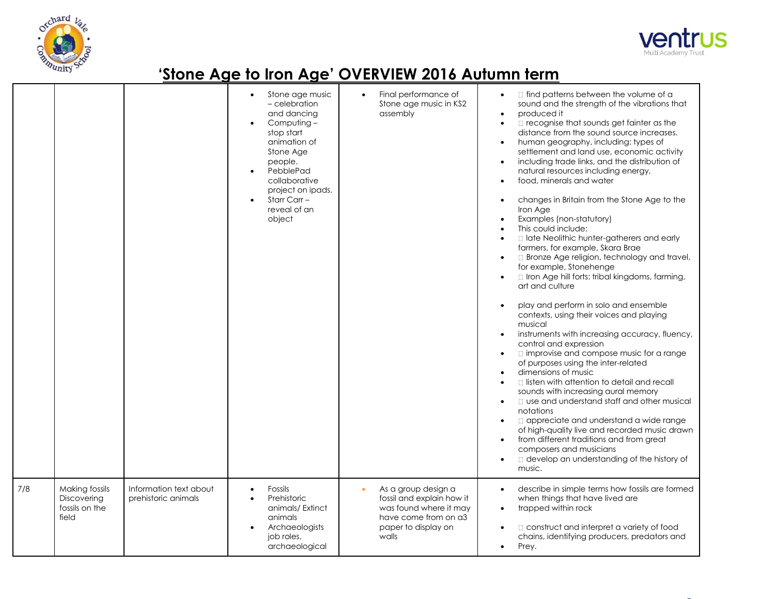



|     |                                                          |                                               | Stone age music<br>- celebration<br>and dancing<br>Computing-<br>stop start<br>animation of<br>Stone Age<br>people.<br>PebblePad<br>collaborative<br>project on ipads.<br>Starr Carr -<br>reveal of an<br>object | Final performance of<br>Stone age music in KS2<br>assembly                                                                         | $\Box$ find patterns between the volume of a<br>sound and the strength of the vibrations that<br>produced it<br>$\bullet$<br>□ recognise that sounds get fainter as the<br>$\bullet$<br>distance from the sound source increases.<br>human geography, including: types of<br>$\bullet$<br>settlement and land use, economic activity<br>including trade links, and the distribution of<br>natural resources including energy,<br>food, minerals and water<br>changes in Britain from the Stone Age to the<br>Iron Age<br>Examples (non-statutory)<br>$\bullet$<br>This could include:<br>I late Neolithic hunter-gatherers and early<br>farmers, for example, Skara Brae<br>□ Bronze Age religion, technology and travel,<br>$\bullet$<br>for example, Stonehenge<br>Iron Age hill forts: tribal kingdoms, farming,<br>$\bullet$<br>art and culture<br>play and perform in solo and ensemble<br>contexts, using their voices and playing<br>musical<br>instruments with increasing accuracy, fluency,<br>control and expression<br>$\Box$ improvise and compose music for a range<br>of purposes using the inter-related<br>dimensions of music<br>$\Box$ listen with attention to detail and recall<br>sounds with increasing aural memory<br><b>Q</b> use and understand staff and other musical<br>$\bullet$<br>notations<br>□ appreciate and understand a wide range<br>$\bullet$<br>of high-quality live and recorded music drawn<br>from different traditions and from great<br>$\bullet$<br>composers and musicians<br>develop an understanding of the history of<br>music. |
|-----|----------------------------------------------------------|-----------------------------------------------|------------------------------------------------------------------------------------------------------------------------------------------------------------------------------------------------------------------|------------------------------------------------------------------------------------------------------------------------------------|------------------------------------------------------------------------------------------------------------------------------------------------------------------------------------------------------------------------------------------------------------------------------------------------------------------------------------------------------------------------------------------------------------------------------------------------------------------------------------------------------------------------------------------------------------------------------------------------------------------------------------------------------------------------------------------------------------------------------------------------------------------------------------------------------------------------------------------------------------------------------------------------------------------------------------------------------------------------------------------------------------------------------------------------------------------------------------------------------------------------------------------------------------------------------------------------------------------------------------------------------------------------------------------------------------------------------------------------------------------------------------------------------------------------------------------------------------------------------------------------------------------------------------------------------------------------------------|
| 7/8 | Making fossils<br>Discovering<br>fossils on the<br>field | Information text about<br>prehistoric animals | Fossils<br>Prehistoric<br>animals/Extinct<br>animals<br>Archaeologists<br>job roles,<br>archaeological                                                                                                           | As a group design a<br>fossil and explain how it<br>was found where it may<br>have come from on a3<br>paper to display on<br>walls | describe in simple terms how fossils are formed<br>$\bullet$<br>when things that have lived are<br>trapped within rock<br>$\bullet$<br>$\Box$ construct and interpret a variety of food<br>$\bullet$<br>chains, identifying producers, predators and<br>Prey.<br>$\bullet$                                                                                                                                                                                                                                                                                                                                                                                                                                                                                                                                                                                                                                                                                                                                                                                                                                                                                                                                                                                                                                                                                                                                                                                                                                                                                                         |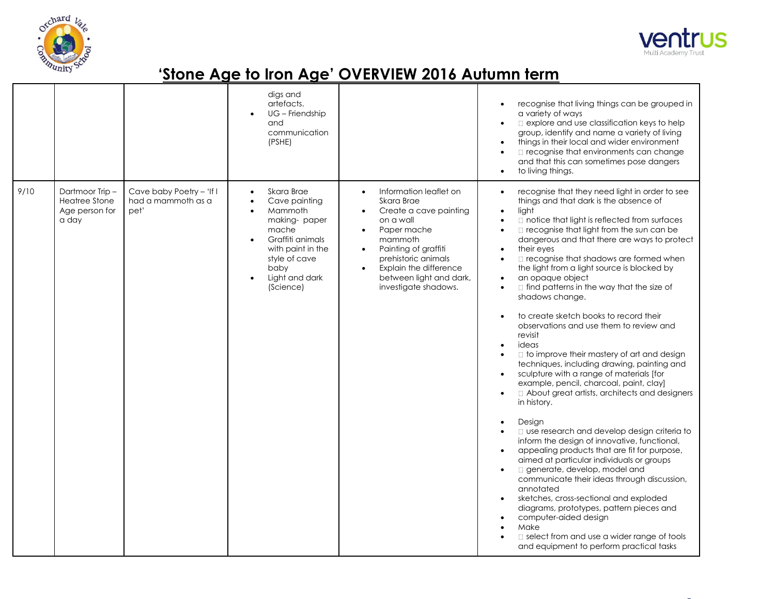



|      |                                                                   |                                                        | digs and<br>artefacts.<br>UG - Friendship<br>and<br>communication<br>(PSHE)                                                                                                                |                                                                                                                                                                                                                                                                                                    | recognise that living things can be grouped in<br>a variety of ways<br>explore and use classification keys to help<br>$\bullet$<br>group, identify and name a variety of living<br>things in their local and wider environment<br>$\bullet$<br>□ recognise that environments can change<br>$\bullet$<br>and that this can sometimes pose dangers<br>to living things.<br>$\bullet$                                                                                                                                                                                                                                                                                                                                                                                                                                                                                                                                                                                                                                                                                                                                                                                                                                                                                                                                                                                                                                                                                                                                                                                   |
|------|-------------------------------------------------------------------|--------------------------------------------------------|--------------------------------------------------------------------------------------------------------------------------------------------------------------------------------------------|----------------------------------------------------------------------------------------------------------------------------------------------------------------------------------------------------------------------------------------------------------------------------------------------------|----------------------------------------------------------------------------------------------------------------------------------------------------------------------------------------------------------------------------------------------------------------------------------------------------------------------------------------------------------------------------------------------------------------------------------------------------------------------------------------------------------------------------------------------------------------------------------------------------------------------------------------------------------------------------------------------------------------------------------------------------------------------------------------------------------------------------------------------------------------------------------------------------------------------------------------------------------------------------------------------------------------------------------------------------------------------------------------------------------------------------------------------------------------------------------------------------------------------------------------------------------------------------------------------------------------------------------------------------------------------------------------------------------------------------------------------------------------------------------------------------------------------------------------------------------------------|
| 9/10 | Dartmoor Trip-<br><b>Heatree Stone</b><br>Age person for<br>a day | Cave baby Poetry - 'If I<br>had a mammoth as a<br>pet' | Skara Brae<br>$\bullet$<br>Cave painting<br>Mammoth<br>making-paper<br>mache<br>Graffiti animals<br>$\bullet$<br>with paint in the<br>style of cave<br>baby<br>Light and dark<br>(Science) | Information leaflet on<br>$\bullet$<br>Skara Brae<br>Create a cave painting<br>$\bullet$<br>on a wall<br>Paper mache<br>$\bullet$<br>mammoth<br>Painting of graffiti<br>$\bullet$<br>prehistoric animals<br>Explain the difference<br>$\bullet$<br>between light and dark,<br>investigate shadows. | recognise that they need light in order to see<br>$\bullet$<br>things and that dark is the absence of<br>light<br>$\bullet$<br>notice that light is reflected from surfaces<br>$\bullet$<br>□ recognise that light from the sun can be<br>$\bullet$<br>dangerous and that there are ways to protect<br>their eyes<br>$\bullet$<br>□ recognise that shadows are formed when<br>$\bullet$<br>the light from a light source is blocked by<br>an opaque object<br>$\bullet$<br>$\Box$ find patterns in the way that the size of<br>$\bullet$<br>shadows change.<br>to create sketch books to record their<br>observations and use them to review and<br>revisit<br>ideas<br>$\bullet$<br>□ to improve their mastery of art and design<br>$\bullet$<br>techniques, including drawing, painting and<br>sculpture with a range of materials [for<br>$\bullet$<br>example, pencil, charcoal, paint, clay]<br>About great artists, architects and designers<br>$\bullet$<br>in history.<br>Design<br>$\bullet$<br>□ use research and develop design criteria to<br>inform the design of innovative, functional,<br>appealing products that are fit for purpose,<br>$\bullet$<br>aimed at particular individuals or groups<br>generate, develop, model and<br>$\bullet$<br>communicate their ideas through discussion,<br>annotated<br>sketches, cross-sectional and exploded<br>diagrams, prototypes, pattern pieces and<br>computer-aided design<br>$\bullet$<br>Make<br>$\bullet$<br>select from and use a wider range of tools<br>and equipment to perform practical tasks |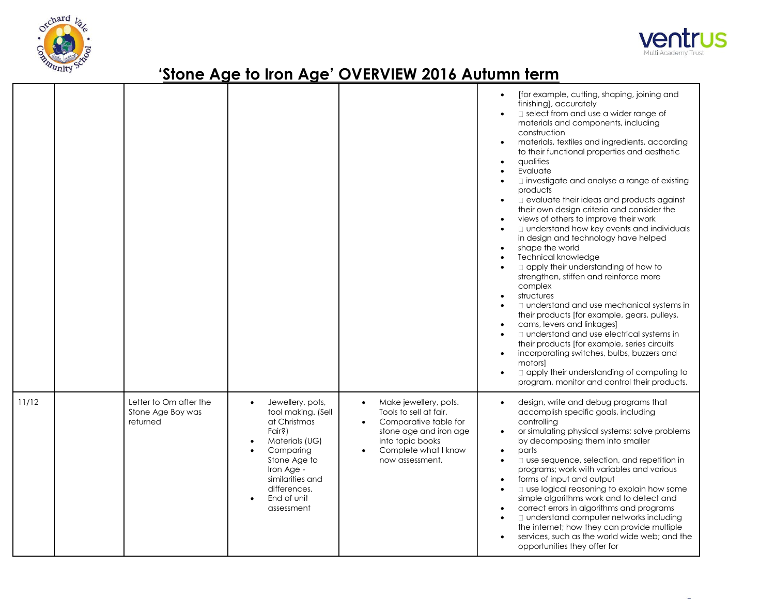



|       |                                                         |                                                                                                                                                                                                |                                                                                                                                                                                             | for example, cutting, shaping, joining and<br>finishing], accurately<br>select from and use a wider range of<br>materials and components, including<br>construction<br>materials, textiles and ingredients, according<br>to their functional properties and aesthetic<br>qualities<br>$\bullet$<br>Evaluate<br>$\Box$ investigate and analyse a range of existing<br>products<br>$\Box$ evaluate their ideas and products against<br>their own design criteria and consider the<br>views of others to improve their work<br>□ understand how key events and individuals<br>$\bullet$<br>in design and technology have helped<br>shape the world<br>Technical knowledge<br>apply their understanding of how to<br>strengthen, stiffen and reinforce more<br>complex<br>structures<br>□ understand and use mechanical systems in<br>their products [for example, gears, pulleys,<br>cams, levers and linkages]<br>□ understand and use electrical systems in<br>their products [for example, series circuits<br>incorporating switches, bulbs, buzzers and<br>motors]<br>$\Box$ apply their understanding of computing to<br>program, monitor and control their products. |
|-------|---------------------------------------------------------|------------------------------------------------------------------------------------------------------------------------------------------------------------------------------------------------|---------------------------------------------------------------------------------------------------------------------------------------------------------------------------------------------|-------------------------------------------------------------------------------------------------------------------------------------------------------------------------------------------------------------------------------------------------------------------------------------------------------------------------------------------------------------------------------------------------------------------------------------------------------------------------------------------------------------------------------------------------------------------------------------------------------------------------------------------------------------------------------------------------------------------------------------------------------------------------------------------------------------------------------------------------------------------------------------------------------------------------------------------------------------------------------------------------------------------------------------------------------------------------------------------------------------------------------------------------------------------------|
| 11/12 | Letter to Om after the<br>Stone Age Boy was<br>returned | Jewellery, pots,<br>tool making. (Sell<br>at Christmas<br>Fair?)<br>Materials (UG)<br>Comparing<br>Stone Age to<br>Iron Age -<br>similarities and<br>differences.<br>End of unit<br>assessment | Make jewellery, pots.<br>$\bullet$<br>Tools to sell at fair.<br>Comparative table for<br>$\bullet$<br>stone age and iron age<br>into topic books<br>Complete what I know<br>now assessment. | design, write and debug programs that<br>accomplish specific goals, including<br>controlling<br>or simulating physical systems; solve problems<br>by decomposing them into smaller<br>parts<br>$\bullet$<br>□ use sequence, selection, and repetition in<br>$\bullet$<br>programs; work with variables and various<br>forms of input and output<br>□ use logical reasoning to explain how some<br>simple algorithms work and to detect and<br>correct errors in algorithms and programs<br>□ understand computer networks including<br>$\bullet$<br>the internet; how they can provide multiple<br>services, such as the world wide web; and the<br>opportunities they offer for                                                                                                                                                                                                                                                                                                                                                                                                                                                                                        |